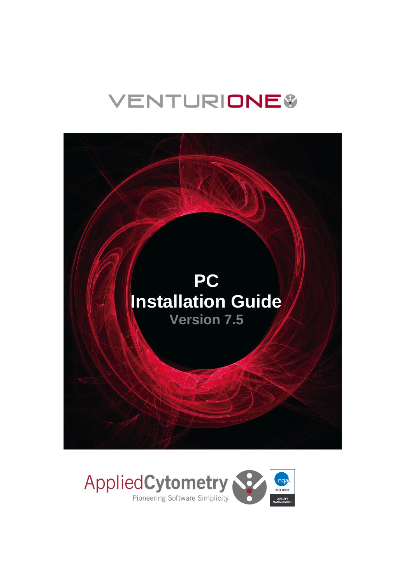# **VENTURIONE®**



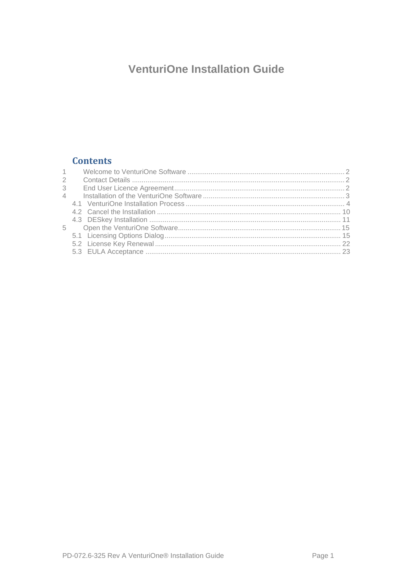# **VenturiOne Installation Guide**

# **Contents**

| $\sim$         |  |
|----------------|--|
| 2              |  |
| 3              |  |
| $\overline{4}$ |  |
|                |  |
|                |  |
|                |  |
| 5              |  |
|                |  |
|                |  |
|                |  |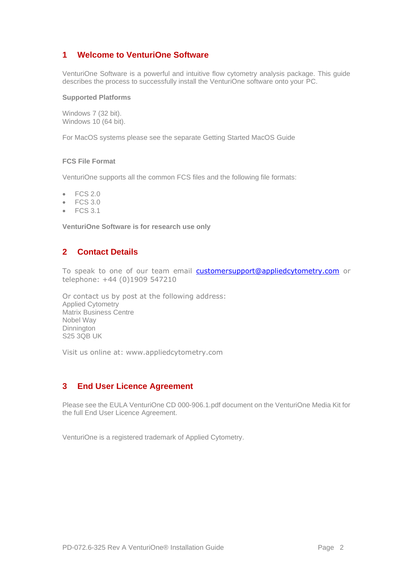# <span id="page-2-0"></span>**1 Welcome to VenturiOne Software**

VenturiOne Software is a powerful and intuitive flow cytometry analysis package. This guide describes the process to successfully install the VenturiOne software onto your PC.

#### **Supported Platforms**

Windows 7 (32 bit). Windows 10 (64 bit).

For MacOS systems please see the separate Getting Started MacOS Guide

#### **FCS File Format**

VenturiOne supports all the common FCS files and the following file formats:

- FCS 2.0
- FCS 3.0
- $\bullet$  FCS 3.1

**VenturiOne Software is for research use only**

#### <span id="page-2-1"></span>**2 Contact Details**

To speak to one of our team email [customersupport@appliedcytometry.com](mailto:customersupport@appliedcytometry.com) or telephone: +44 (0)1909 547210

Or contact us by post at the following address: Applied Cytometry Matrix Business Centre Nobel Way Dinnington S25 3QB UK

Visit us online at: [www.appliedcytometry.com](http://www.appliedcytometry.com/)

#### <span id="page-2-2"></span>**3 End User Licence Agreement**

Please see the EULA VenturiOne CD 000-906.1.pdf document on the VenturiOne Media Kit for the full End User Licence Agreement.

VenturiOne is a registered trademark of Applied Cytometry.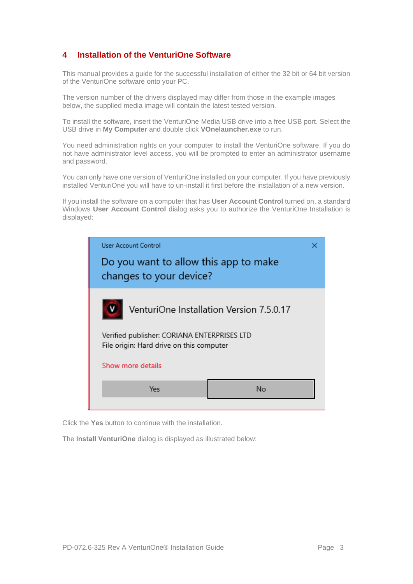# <span id="page-3-0"></span>**4 Installation of the VenturiOne Software**

This manual provides a guide for the successful installation of either the 32 bit or 64 bit version of the VenturiOne software onto your PC.

The version number of the drivers displayed may differ from those in the example images below, the supplied media image will contain the latest tested version.

To install the software, insert the VenturiOne Media USB drive into a free USB port. Select the USB drive in **My Computer** and double click **VOnelauncher.exe** to run.

You need administration rights on your computer to install the VenturiOne software. If you do not have administrator level access, you will be prompted to enter an administrator username and password.

You can only have one version of VenturiOne installed on your computer. If you have previously installed VenturiOne you will have to un-install it first before the installation of a new version.

If you install the software on a computer that has **User Account Control** turned on, a standard Windows **User Account Control** dialog asks you to authorize the VenturiOne Installation is displayed:



Click the **Yes** button to continue with the installation.

The **Install VenturiOne** dialog is displayed as illustrated below: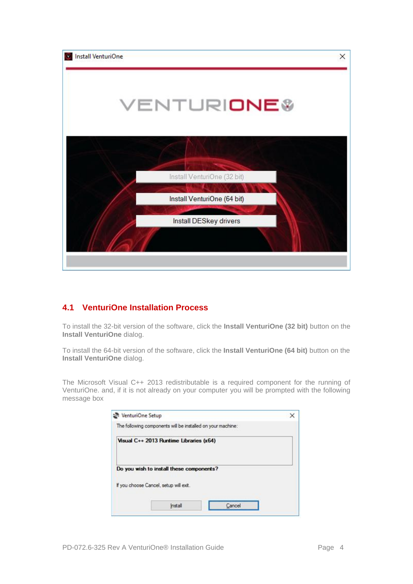

# <span id="page-4-0"></span>**4.1 VenturiOne Installation Process**

To install the 32-bit version of the software, click the **Install VenturiOne (32 bit)** button on the **Install VenturiOne** dialog.

To install the 64-bit version of the software, click the **Install VenturiOne (64 bit)** button on the **Install VenturiOne** dialog.

The Microsoft Visual C++ 2013 redistributable is a required component for the running of VenturiOne. and, if it is not already on your computer you will be prompted with the following message box

| VenturiOne Setup                                            |  |
|-------------------------------------------------------------|--|
| The following components will be installed on your machine: |  |
| Visual C++ 2013 Runtime Libraries (x64)                     |  |
| Do you wish to install these components?                    |  |
| If you choose Cancel, setup will ext.                       |  |
|                                                             |  |
|                                                             |  |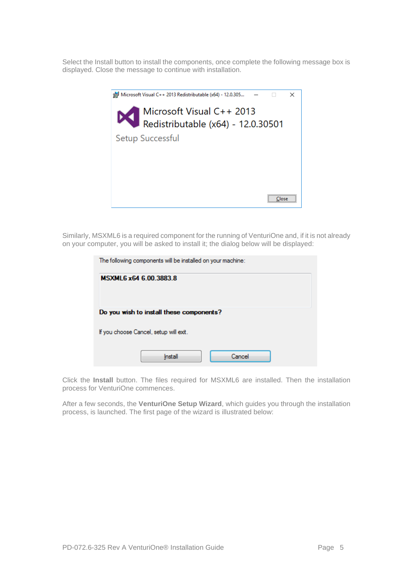Select the Install button to install the components, once complete the following message box is displayed. Close the message to continue with installation.



Similarly, MSXML6 is a required component for the running of VenturiOne and, if it is not already on your computer, you will be asked to install it; the dialog below will be displayed:

| The following components will be installed on your machine: |  |  |  |  |
|-------------------------------------------------------------|--|--|--|--|
| MSXML6 x64 6.00.3883.8                                      |  |  |  |  |
|                                                             |  |  |  |  |
| Do you wish to install these components?                    |  |  |  |  |
| If you choose Cancel, setup will exit.                      |  |  |  |  |
| Cancel<br>Install                                           |  |  |  |  |

Click the **Install** button. The files required for MSXML6 are installed. Then the installation process for VenturiOne commences.

After a few seconds, the **VenturiOne Setup Wizard**, which guides you through the installation process, is launched. The first page of the wizard is illustrated below: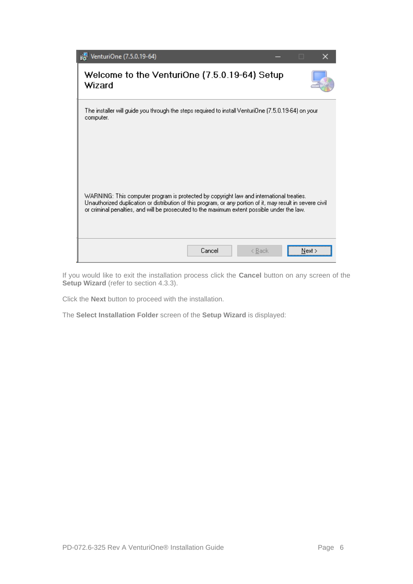| VenturiOne (7.5.0.19-64)                                                                                                                                                                                                                                                                              | □ |        |
|-------------------------------------------------------------------------------------------------------------------------------------------------------------------------------------------------------------------------------------------------------------------------------------------------------|---|--------|
| Welcome to the VenturiOne (7.5.0.19-64) Setup<br>Wizard                                                                                                                                                                                                                                               |   |        |
| The installer will quide you through the steps required to install VenturiOne (7.5.0.19-64) on your<br>computer.                                                                                                                                                                                      |   |        |
| WARNING: This computer program is protected by copyright law and international treaties.<br>Unauthorized duplication or distribution of this program, or any portion of it, may result in severe civil<br>or criminal penalties, and will be prosecuted to the maximum extent possible under the law. |   |        |
| Cancel<br>< Back                                                                                                                                                                                                                                                                                      |   | Next > |

If you would like to exit the installation process click the **Cancel** button on any screen of the **Setup Wizard** (refer to section [4.3.3\)](#page-14-0).

Click the **Next** button to proceed with the installation.

The **Select Installation Folder** screen of the **Setup Wizard** is displayed: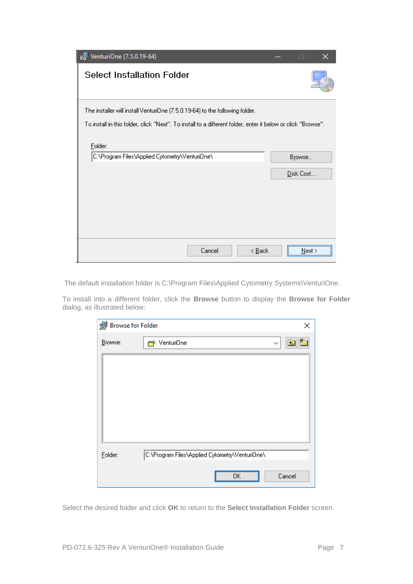| VenturiOne (7.5.0.19-64)                                                                                                | п         |  |
|-------------------------------------------------------------------------------------------------------------------------|-----------|--|
| <b>Select Installation Folder</b>                                                                                       |           |  |
| The installer will install VenturiOne (7.5.0.19-64) to the following folder.                                            |           |  |
| To install in this folder, click "Next". To install to a different folder, enter it below or click "Browse".<br>Folder: |           |  |
| C:\Program Files\Applied Cytometry\Venturi0ne\                                                                          | Browse    |  |
|                                                                                                                         | Disk Cost |  |
|                                                                                                                         |           |  |
|                                                                                                                         |           |  |
|                                                                                                                         |           |  |
|                                                                                                                         |           |  |
| Cancel<br>< <u>B</u> ack                                                                                                | Next :    |  |

The default installation folder is C:\Program Files\Applied Cytometry Systems\VenturiOne.

To install into a different folder, click the **Browse** button to display the **Browse for Folder**  dialog, as illustrated below:

| Browse for Folder | ×                                              |
|-------------------|------------------------------------------------|
| Browse:           | rriventuri0ne<br>✓                             |
|                   |                                                |
| Folder:           | C:\Program Files\Applied Cytometry\Venturi0ne\ |
|                   | Cancel<br>0K                                   |

Select the desired folder and click **OK** to return to the **Select Installation Folder** screen.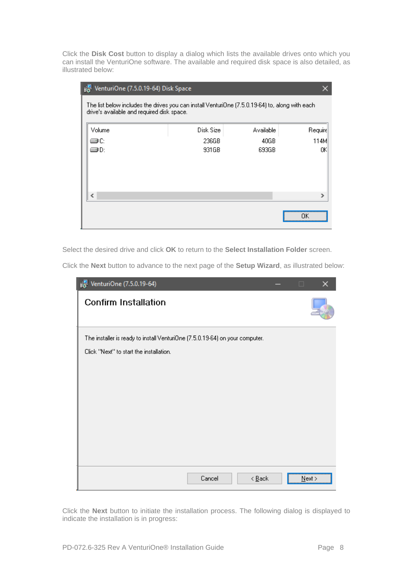Click the **Disk Cost** button to display a dialog which lists the available drives onto which you can install the VenturiOne software. The available and required disk space is also detailed, as illustrated below:

| VenturiOne (7.5.0.19-64) Disk Space<br>ïН                                                                                                     |           |           |         |  |  |  |
|-----------------------------------------------------------------------------------------------------------------------------------------------|-----------|-----------|---------|--|--|--|
| The list below includes the drives you can install VenturiOne (7.5.0.19-64) to, along with each<br>drive's available and required disk space. |           |           |         |  |  |  |
| Volume                                                                                                                                        | Disk Size | Available | Require |  |  |  |
| ∋c                                                                                                                                            | 236GB     | 40GB      | 114M    |  |  |  |
| ∍D:                                                                                                                                           | 931GB     | 693GB     | ΟK      |  |  |  |
|                                                                                                                                               |           |           |         |  |  |  |
| ∢                                                                                                                                             |           |           | ⋗       |  |  |  |
|                                                                                                                                               |           |           | ПK      |  |  |  |

Select the desired drive and click **OK** to return to the **Select Installation Folder** screen.

Click the **Next** button to advance to the next page of the **Setup Wizard**, as illustrated below:

| je VenturiOne (7.5.0.19-64)                                                                                             | $\Box$ |      |
|-------------------------------------------------------------------------------------------------------------------------|--------|------|
| <b>Confirm Installation</b>                                                                                             |        |      |
| The installer is ready to install VenturiOne (7.5.0.19-64) on your computer.<br>Click "Next" to start the installation. |        |      |
| Cancel<br>$\leq$ $\underline{B}$ ack                                                                                    |        | Next |

Click the **Next** button to initiate the installation process. The following dialog is displayed to indicate the installation is in progress: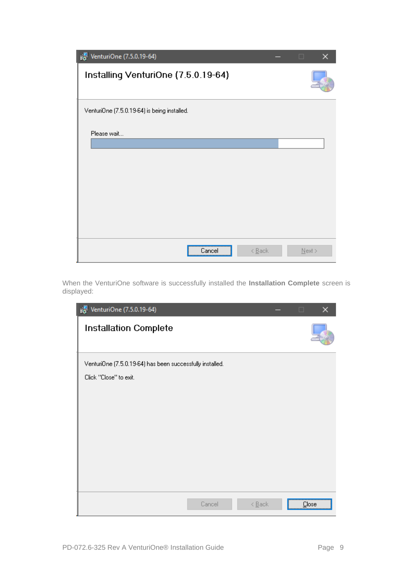| j <sup>1</sup> VenturiOne (7.5.0.19-64)      | □         |  |
|----------------------------------------------|-----------|--|
| Installing VenturiOne (7.5.0.19-64)          |           |  |
| VenturiOne (7.5.0.19-64) is being installed. |           |  |
| Please wait                                  |           |  |
| Cancel<br>$\leq$ Back                        | $N$ ext > |  |

When the VenturiOne software is successfully installed the **Installation Complete** screen is displayed:

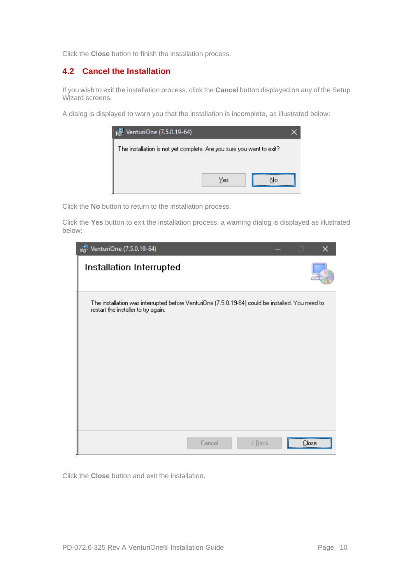<span id="page-10-0"></span>Click the **Close** button to finish the installation process.

#### **4.2 Cancel the Installation**

If you wish to exit the installation process, click the **Cancel** button displayed on any of the Setup Wizard screens.

A dialog is displayed to warn you that the installation is incomplete, as illustrated below:



Click the **No** button to return to the installation process.

Click the **Yes** button to exit the installation process, a warning dialog is displayed as illustrated below:

| VenturiOne (7.5.0.19-64)<br>ıē.                                                                                                         |        |                            | □     |
|-----------------------------------------------------------------------------------------------------------------------------------------|--------|----------------------------|-------|
| Installation Interrupted                                                                                                                |        |                            |       |
| The installation was interrupted before VenturiOne (7.5.0.19-64) could be installed. You need to<br>restart the installer to try again. |        |                            |       |
|                                                                                                                                         | Cancel | $\leq$ $\underline{B}$ ack | Close |

Click the **Close** button and exit the installation.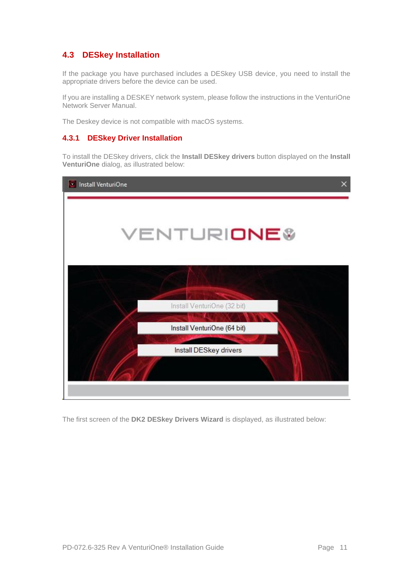# <span id="page-11-0"></span>**4.3 DESkey Installation**

If the package you have purchased includes a DESkey USB device, you need to install the appropriate drivers before the device can be used.

If you are installing a DESKEY network system, please follow the instructions in the VenturiOne Network Server Manual.

The Deskey device is not compatible with macOS systems.

#### **4.3.1 DESkey Driver Installation**

To install the DESkey drivers, click the **Install DESkey drivers** button displayed on the **Install VenturiOne** dialog, as illustrated below:



The first screen of the **DK2 DESkey Drivers Wizard** is displayed, as illustrated below: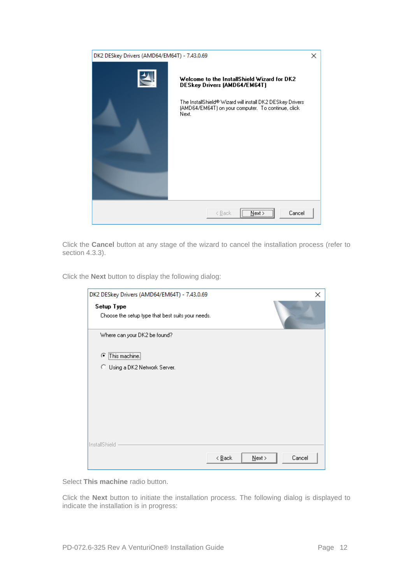| DK2 DESkey Drivers (AMD64/EM64T) - 7.43.0.69        |                                                                                                                                                                                                                |  |  |  |
|-----------------------------------------------------|----------------------------------------------------------------------------------------------------------------------------------------------------------------------------------------------------------------|--|--|--|
| D                                                   | Welcome to the InstallShield Wizard for DK2<br><b>DESkey Drivers (AMD64/EM64T)</b><br>The InstallShield® Wizard will install DK2 DESkey Drivers<br>(AMD64/EM64T) on your computer. To continue, click<br>Next. |  |  |  |
| $\sqrt{$ Next > $\sqrt{ }$<br>Cancel<br>< Back<br>: |                                                                                                                                                                                                                |  |  |  |

Click the **Cancel** button at any stage of the wizard to cancel the installation process (refer to section [4.3.3\)](#page-14-0).

Click the **Next** button to display the following dialog:

| DK2 DESkey Drivers (AMD64/EM64T) - 7.43.0.69                    |                            | ×                   |
|-----------------------------------------------------------------|----------------------------|---------------------|
| Setup Type<br>Choose the setup type that best suits your needs. |                            |                     |
| Where can your DK2 be found?                                    |                            |                     |
| C This machine.                                                 |                            |                     |
| C Using a DK2 Network Server.                                   |                            |                     |
|                                                                 |                            |                     |
|                                                                 |                            |                     |
|                                                                 |                            |                     |
|                                                                 |                            |                     |
| InstallShield                                                   | $\leq$ $\underline{B}$ ack | Cancel<br>$N$ ext > |

Select **This machine** radio button.

Click the **Next** button to initiate the installation process. The following dialog is displayed to indicate the installation is in progress: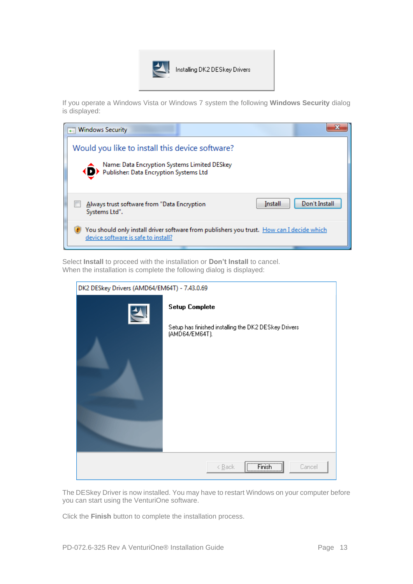

If you operate a Windows Vista or Windows 7 system the following **Windows Security** dialog is displayed:

| → Windows Security                                                                                                                            |         |               |
|-----------------------------------------------------------------------------------------------------------------------------------------------|---------|---------------|
| Would you like to install this device software?<br>Name: Data Encryption Systems Limited DESkey<br>◆ D Publisher: Data Encryption Systems Ltd |         |               |
| Always trust software from "Data Encryption"<br>Systems Ltd".                                                                                 | Install | Don't Install |
| You should only install driver software from publishers you trust. How can I decide which<br>device software is safe to install?              |         |               |

Select **Install** to proceed with the installation or **Don't Install** to cancel. When the installation is complete the following dialog is displayed:

| DK2 DESkey Drivers (AMD64/EM64T) - 7.43.0.69 |                                                                                                 |  |  |  |  |
|----------------------------------------------|-------------------------------------------------------------------------------------------------|--|--|--|--|
| $\blacktriangle$                             | <b>Setup Complete</b><br>Setup has finished installing the DK2 DESkey Drivers<br>(AMD64/EM64T). |  |  |  |  |
|                                              | $F$ Finish<br>Cancel<br>< <u>B</u> ack<br><u>:</u>                                              |  |  |  |  |

The DESkey Driver is now installed. You may have to restart Windows on your computer before you can start using the VenturiOne software.

Click the **Finish** button to complete the installation process.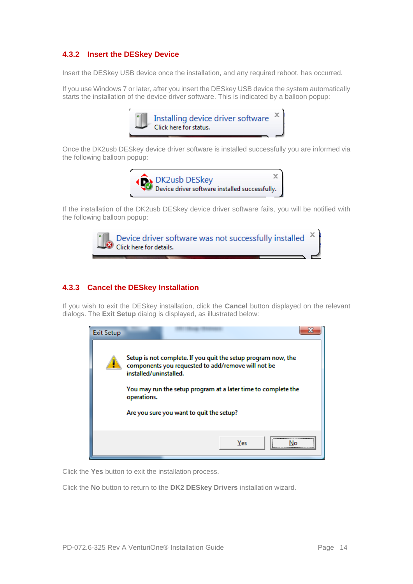#### **4.3.2 Insert the DESkey Device**

Insert the DESkey USB device once the installation, and any required reboot, has occurred.

If you use Windows 7 or later, after you insert the DESkey USB device the system automatically starts the installation of the device driver software. This is indicated by a balloon popup:



Once the DK2usb DESkey device driver software is installed successfully you are informed via the following balloon popup:



If the installation of the DK2usb DESkey device driver software fails, you will be notified with the following balloon popup:



#### <span id="page-14-0"></span>**4.3.3 Cancel the DESkey Installation**

If you wish to exit the DESkey installation, click the **Cancel** button displayed on the relevant dialogs. The **Exit Setup** dialog is displayed, as illustrated below:



Click the **Yes** button to exit the installation process.

Click the **No** button to return to the **DK2 DESkey Drivers** installation wizard.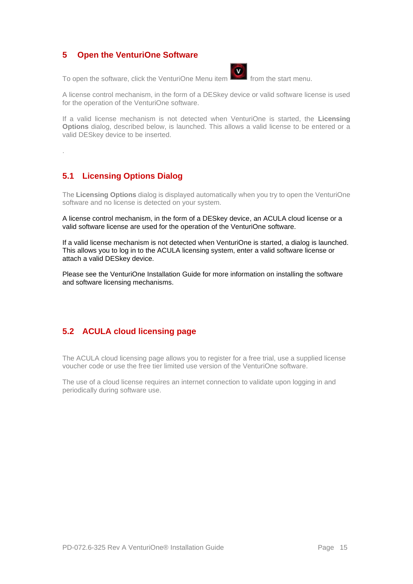#### <span id="page-15-0"></span>**5 Open the VenturiOne Software**

To open the software, click the VenturiOne Menu item **100** from the start menu.



A license control mechanism, in the form of a DESkey device or valid software license is used for the operation of the VenturiOne software.

If a valid license mechanism is not detected when VenturiOne is started, the **Licensing Options** dialog, described below, is launched. This allows a valid license to be entered or a valid DESkey device to be inserted.

.

# <span id="page-15-1"></span>**5.1 Licensing Options Dialog**

The **Licensing Options** dialog is displayed automatically when you try to open the VenturiOne software and no license is detected on your system.

A license control mechanism, in the form of a DESkey device, an ACULA cloud license or a valid software license are used for the operation of the VenturiOne software.

If a valid license mechanism is not detected when VenturiOne is started, a dialog is launched. This allows you to log in to the ACULA licensing system, enter a valid software license or attach a valid DESkey device.

Please see the VenturiOne Installation Guide for more information on installing the software and software licensing mechanisms.

# **5.2 ACULA cloud licensing page**

The ACULA cloud licensing page allows you to register for a free trial, use a supplied license voucher code or use the free tier limited use version of the VenturiOne software.

The use of a cloud license requires an internet connection to validate upon logging in and periodically during software use.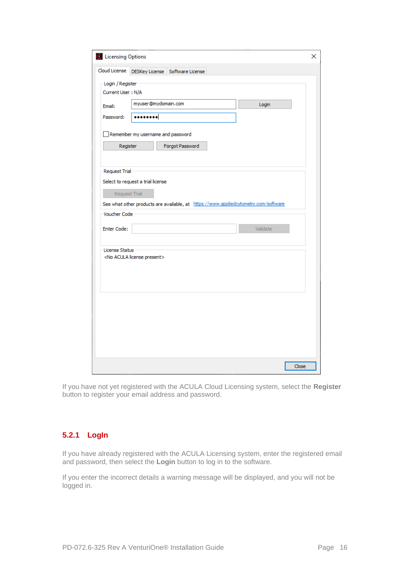| <b>D</b> Licensing Options |                                          |                                 |                                                                                     | × |
|----------------------------|------------------------------------------|---------------------------------|-------------------------------------------------------------------------------------|---|
| Cloud License              |                                          | DESKey License Software License |                                                                                     |   |
| Login / Register           |                                          |                                 |                                                                                     |   |
| Current User: N/A          |                                          |                                 |                                                                                     |   |
| Email:                     | myuser@mydomain.com                      |                                 | Login                                                                               |   |
| Password:                  |                                          |                                 |                                                                                     |   |
|                            |                                          |                                 |                                                                                     |   |
|                            | Remember my username and password        |                                 |                                                                                     |   |
| Register                   |                                          | Forgot Password                 |                                                                                     |   |
|                            |                                          |                                 |                                                                                     |   |
| <b>Request Trial</b>       |                                          |                                 |                                                                                     |   |
|                            | Select to request a trial license        |                                 |                                                                                     |   |
| Request Trial              |                                          |                                 |                                                                                     |   |
| Voucher Code               |                                          |                                 | See what other products are available, at https://www.appliedcytometry.com/software |   |
|                            |                                          |                                 |                                                                                     |   |
| <b>Enter Code:</b>         |                                          |                                 | Validate                                                                            |   |
| License Status             |                                          |                                 |                                                                                     |   |
|                            | <no acula="" license="" present=""></no> |                                 |                                                                                     |   |
|                            |                                          |                                 |                                                                                     |   |
|                            |                                          |                                 |                                                                                     |   |
|                            |                                          |                                 |                                                                                     |   |
|                            |                                          |                                 |                                                                                     |   |
|                            |                                          |                                 |                                                                                     |   |
|                            |                                          |                                 |                                                                                     |   |
|                            |                                          |                                 |                                                                                     |   |
|                            |                                          |                                 |                                                                                     |   |
|                            |                                          |                                 | Close                                                                               |   |
|                            |                                          |                                 |                                                                                     |   |

If you have not yet registered with the ACULA Cloud Licensing system, select the **Register**  button to register your email address and password.

# **5.2.1 LogIn**

If you have already registered with the ACULA Licensing system, enter the registered email and password, then select the **Login** button to log in to the software.

If you enter the incorrect details a warning message will be displayed, and you will not be logged in.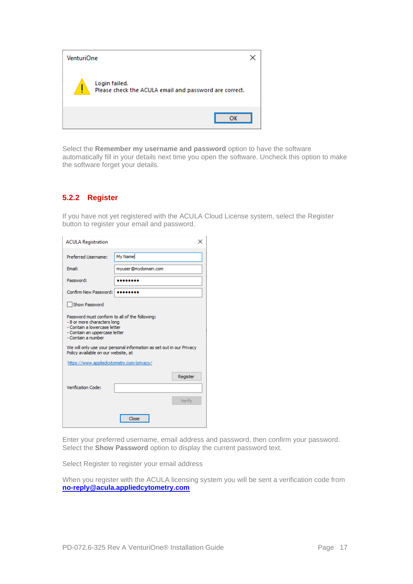| <b>VenturiOne</b> |                                                                         |  |
|-------------------|-------------------------------------------------------------------------|--|
| Ţ                 | Login failed.<br>Please check the ACULA email and password are correct. |  |
|                   |                                                                         |  |

Select the **Remember my username and password** option to have the software automatically fill in your details next time you open the software. Uncheck this option to make the software forget your details.

#### **5.2.2 Register**

If you have not yet registered with the ACULA Cloud License system, select the Register button to register your email and password.

| <b>ACULA Registration</b>                                                                                                                                            | ×                   |  |  |  |
|----------------------------------------------------------------------------------------------------------------------------------------------------------------------|---------------------|--|--|--|
| Preferred Username:                                                                                                                                                  | My Name             |  |  |  |
| Fmail:                                                                                                                                                               | myuser@mydomain.com |  |  |  |
| Password:                                                                                                                                                            |                     |  |  |  |
| Confirm New Password:                                                                                                                                                |                     |  |  |  |
| Show Password                                                                                                                                                        |                     |  |  |  |
| Password must conform to all of the following:<br>- 8 or more characters long<br>- Contain a lowercase letter<br>- Contain an uppercase letter<br>- Contain a number |                     |  |  |  |
| We will only use your personal information as set out in our Privacy<br>Policy available on our website, at                                                          |                     |  |  |  |
| https://www.appliedcytometry.com/privacy/                                                                                                                            |                     |  |  |  |
| Verification Code:                                                                                                                                                   | Register<br>Verify  |  |  |  |
|                                                                                                                                                                      | Close               |  |  |  |

Enter your preferred username, email address and password, then confirm your password. Select the **Show Password** option to display the current password text.

Select Register to register your email address

When you register with the ACULA licensing system you will be sent a verification code from **[no-reply@acula.appliedcytometry.com](mailto:no-reply@acula.appliedcytometry.com)**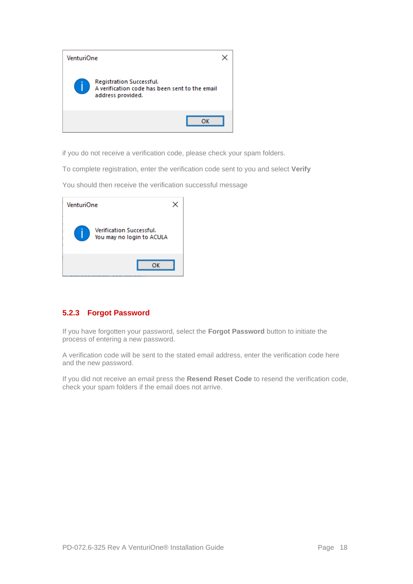

if you do not receive a verification code, please check your spam folders.

To complete registration, enter the verification code sent to you and select **Verify**

You should then receive the verification successful message

| VenturiOne |                                                              |  |
|------------|--------------------------------------------------------------|--|
|            | <b>Verification Successful.</b><br>You may no login to ACULA |  |
|            |                                                              |  |

#### **5.2.3 Forgot Password**

If you have forgotten your password, select the **Forgot Password** button to initiate the process of entering a new password.

A verification code will be sent to the stated email address, enter the verification code here and the new password.

If you did not receive an email press the **Resend Reset Code** to resend the verification code, check your spam folders if the email does not arrive.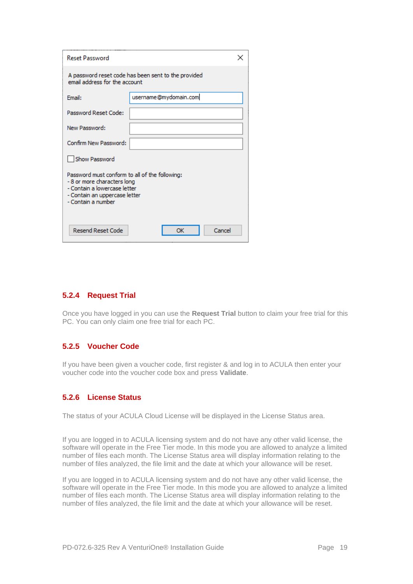| <b>Reset Password</b>                                                                                                                                               |                                                                                      |  |  |  |  |
|---------------------------------------------------------------------------------------------------------------------------------------------------------------------|--------------------------------------------------------------------------------------|--|--|--|--|
|                                                                                                                                                                     | A password reset code has been sent to the provided<br>email address for the account |  |  |  |  |
| Email:                                                                                                                                                              | username@mydomain.com                                                                |  |  |  |  |
| Password Reset Code:                                                                                                                                                |                                                                                      |  |  |  |  |
| New Password:                                                                                                                                                       |                                                                                      |  |  |  |  |
| Confirm New Password:                                                                                                                                               |                                                                                      |  |  |  |  |
| Show Password                                                                                                                                                       |                                                                                      |  |  |  |  |
| Password must conform to all of the following:<br>-8 or more characters long<br>- Contain a lowercase letter<br>- Contain an uppercase letter<br>- Contain a number |                                                                                      |  |  |  |  |
| <b>Resend Reset Code</b>                                                                                                                                            | Cancel<br>ОК                                                                         |  |  |  |  |

#### **5.2.4 Request Trial**

Once you have logged in you can use the **Request Trial** button to claim your free trial for this PC. You can only claim one free trial for each PC.

#### **5.2.5 Voucher Code**

If you have been given a voucher code, first register & and log in to ACULA then enter your voucher code into the voucher code box and press **Validate**.

#### **5.2.6 License Status**

The status of your ACULA Cloud License will be displayed in the License Status area.

If you are logged in to ACULA licensing system and do not have any other valid license, the software will operate in the Free Tier mode. In this mode you are allowed to analyze a limited number of files each month. The License Status area will display information relating to the number of files analyzed, the file limit and the date at which your allowance will be reset.

If you are logged in to ACULA licensing system and do not have any other valid license, the software will operate in the Free Tier mode. In this mode you are allowed to analyze a limited number of files each month. The License Status area will display information relating to the number of files analyzed, the file limit and the date at which your allowance will be reset.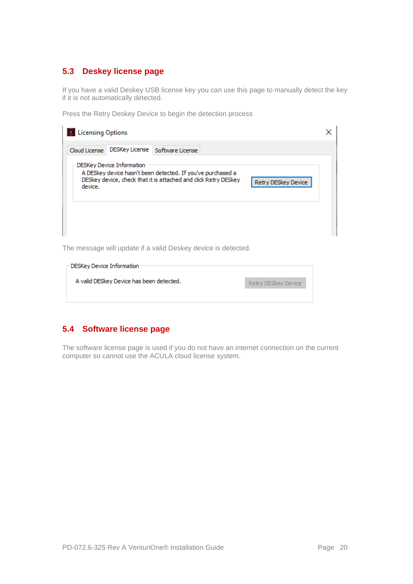# **5.3 Deskey license page**

If you have a valid Deskey USB license key you can use this page to manually detect the key if it is not automatically detected.

Press the Retry Deskey Device to begin the detection process

| <b>Licensing Options</b> |                                  |                                                                                                                                |                     |  |
|--------------------------|----------------------------------|--------------------------------------------------------------------------------------------------------------------------------|---------------------|--|
| Cloud License            | DESKey License                   | Software License                                                                                                               |                     |  |
| device.                  | <b>DESKey Device Information</b> | A DESkey device hasn't been detected. If you've purchased a<br>DESkey device, check that it is attached and click Retry DESkey | Retry DESkey Device |  |

The message will update if a valid Deskey device is detected.

| <b>-DESKey Device Information</b>        |                     |
|------------------------------------------|---------------------|
| A valid DESkey Device has been detected. | Retry DESkey Device |

# **5.4 Software license page**

The software license page is used if you do not have an internet connection on the current computer so cannot use the ACULA cloud license system.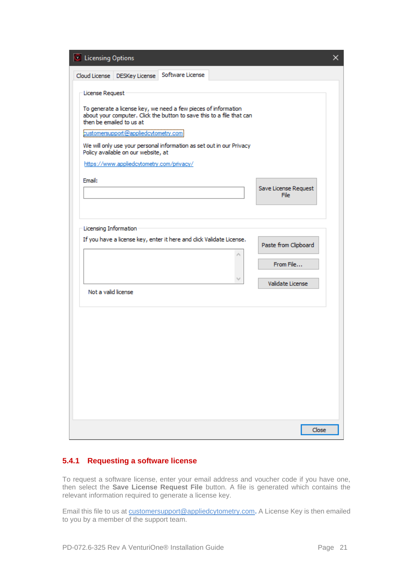| C Licensing Options       |                                                                                                                                                      |                                                                                                                                                                                                                 |                               | ×. |
|---------------------------|------------------------------------------------------------------------------------------------------------------------------------------------------|-----------------------------------------------------------------------------------------------------------------------------------------------------------------------------------------------------------------|-------------------------------|----|
|                           | Cloud License   DESKey License                                                                                                                       | Software License                                                                                                                                                                                                |                               |    |
| License Request<br>Email: | then be emailed to us at<br>customersupport@appliedcytometry.com<br>Policy available on our website, at<br>https://www.appliedcytometry.com/privacy/ | To generate a license key, we need a few pieces of information<br>about your computer. Click the button to save this to a file that can<br>We will only use your personal information as set out in our Privacy | Save License Request<br>File  |    |
| Licensing Information     |                                                                                                                                                      | If you have a license key, enter it here and click Validate License.                                                                                                                                            | Paste from Clipboard          |    |
|                           |                                                                                                                                                      |                                                                                                                                                                                                                 | From File<br>Validate License |    |
| Not a valid license       |                                                                                                                                                      |                                                                                                                                                                                                                 |                               |    |
|                           |                                                                                                                                                      |                                                                                                                                                                                                                 |                               |    |
|                           |                                                                                                                                                      |                                                                                                                                                                                                                 |                               |    |
|                           |                                                                                                                                                      |                                                                                                                                                                                                                 | Close                         |    |

#### **5.4.1 Requesting a software license**

To request a software license, enter your email address and voucher code if you have one, then select the **Save License Request File** button. A file is generated which contains the relevant information required to generate a license key.

Email this file to us at [customersupport@appliedcytometry.com](mailto:customersupport@appliedcytometry.com)**.** A License Key is then emailed to you by a member of the support team.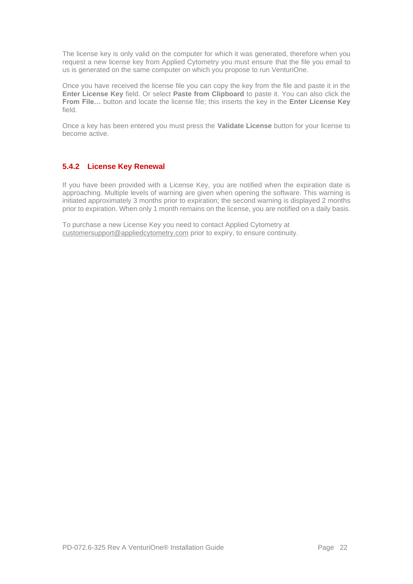The license key is only valid on the computer for which it was generated, therefore when you request a new license key from Applied Cytometry you must ensure that the file you email to us is generated on the same computer on which you propose to run VenturiOne.

Once you have received the license file you can copy the key from the file and paste it in the **Enter License Key** field. Or select **Paste from Clipboard** to paste it. You can also click the **From File…** button and locate the license file; this inserts the key in the **Enter License Key**  field.

Once a key has been entered you must press the **Validate License** button for your license to become active.

#### <span id="page-22-0"></span>**5.4.2 License Key Renewal**

If you have been provided with a License Key, you are notified when the expiration date is approaching. Multiple levels of warning are given when opening the software. This warning is initiated approximately 3 months prior to expiration; the second warning is displayed 2 months prior to expiration. When only 1 month remains on the license, you are notified on a daily basis.

To purchase a new License Key you need to contact Applied Cytometry at [customersupport@appliedcytometry.com](mailto:customersupport@appliedcytometry.com) prior to expiry, to ensure continuity.